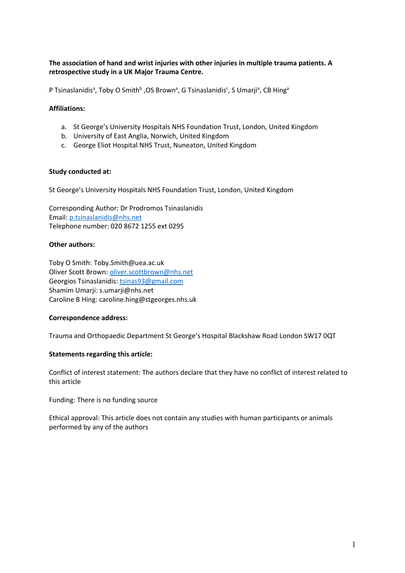# **The association of hand and wrist injuries with other injuries in multiple trauma patients. A retrospective study in a UK Major Trauma Centre.**

P Tsinaslanidis<sup>a</sup>, Toby O Smith<sup>b</sup> ,OS Brown<sup>a</sup>, G Tsinaslanidis<sup>c</sup>, S Umarji<sup>a</sup>, CB Hing<sup>a</sup>

## **Affiliations:**

- a. St George's University Hospitals NHS Foundation Trust, London, United Kingdom
- b. University of East Anglia, Norwich, United Kingdom
- c. George Eliot Hospital NHS Trust, Nuneaton, United Kingdom

## **Study conducted at:**

St George's University Hospitals NHS Foundation Trust, London, United Kingdom

Corresponding Author: Dr Prodromos Tsinaslanidis Email: p.tsinaslanidis@nhs.net Telephone number: 020 8672 1255 ext 0295

## **Other authors:**

Toby O Smith: Toby.Smith@uea.ac.uk Oliver Scott Brown: oliver.scottbrown@nhs.net Georgios Tsinaslanidis: tsinas93@gmail.com Shamim Umarji: s.umarji@nhs.net Caroline B Hing: caroline.hing@stgeorges.nhs.uk

## **Correspondence address:**

Trauma and Orthopaedic Department St George's Hospital Blackshaw Road London SW17 0QT

## **Statements regarding this article:**

Conflict of interest statement: The authors declare that they have no conflict of interest related to this article

Funding: There is no funding source

Ethical approval: This article does not contain any studies with human participants or animals performed by any of the authors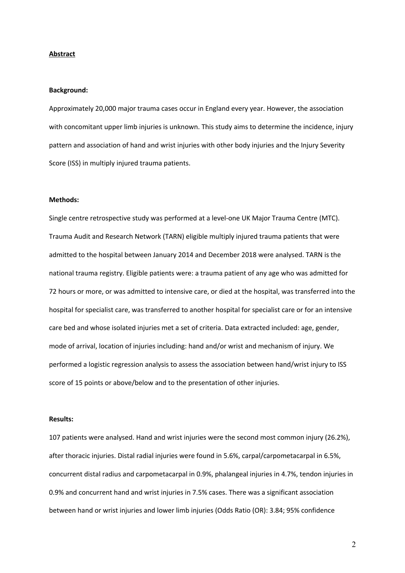#### **Abstract**

#### **Background:**

Approximately 20,000 major trauma cases occur in England every year. However, the association with concomitant upper limb injuries is unknown. This study aims to determine the incidence, injury pattern and association of hand and wrist injuries with other body injuries and the Injury Severity Score (ISS) in multiply injured trauma patients.

#### **Methods:**

Single centre retrospective study was performed at a level-one UK Major Trauma Centre (MTC). Trauma Audit and Research Network (TARN) eligible multiply injured trauma patients that were admitted to the hospital between January 2014 and December 2018 were analysed. TARN is the national trauma registry. Eligible patients were: a trauma patient of any age who was admitted for 72 hours or more, or was admitted to intensive care, or died at the hospital, was transferred into the hospital for specialist care, was transferred to another hospital for specialist care or for an intensive care bed and whose isolated injuries met a set of criteria. Data extracted included: age, gender, mode of arrival, location of injuries including: hand and/or wrist and mechanism of injury. We performed a logistic regression analysis to assess the association between hand/wrist injury to ISS score of 15 points or above/below and to the presentation of other injuries.

#### **Results:**

107 patients were analysed. Hand and wrist injuries were the second most common injury (26.2%), after thoracic injuries. Distal radial injuries were found in 5.6%, carpal/carpometacarpal in 6.5%, concurrent distal radius and carpometacarpal in 0.9%, phalangeal injuries in 4.7%, tendon injuries in 0.9% and concurrent hand and wrist injuries in 7.5% cases. There was a significant association between hand or wrist injuries and lower limb injuries (Odds Ratio (OR): 3.84; 95% confidence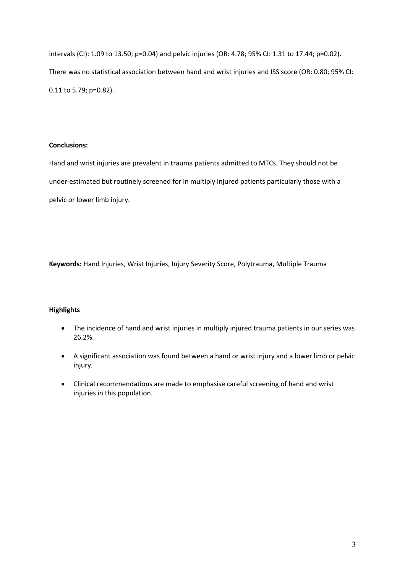intervals (CI): 1.09 to 13.50; p=0.04) and pelvic injuries (OR: 4.78; 95% CI: 1.31 to 17.44; p=0.02). There was no statistical association between hand and wrist injuries and ISS score (OR: 0.80; 95% CI: 0.11 to 5.79; p=0.82).

## **Conclusions:**

Hand and wrist injuries are prevalent in trauma patients admitted to MTCs. They should not be under-estimated but routinely screened for in multiply injured patients particularly those with a pelvic or lower limb injury.

**Keywords:** Hand Injuries, Wrist Injuries, Injury Severity Score, Polytrauma, Multiple Trauma

# **Highlights**

- The incidence of hand and wrist injuries in multiply injured trauma patients in our series was 26.2%.
- A significant association was found between a hand or wrist injury and a lower limb or pelvic injury.
- Clinical recommendations are made to emphasise careful screening of hand and wrist injuries in this population.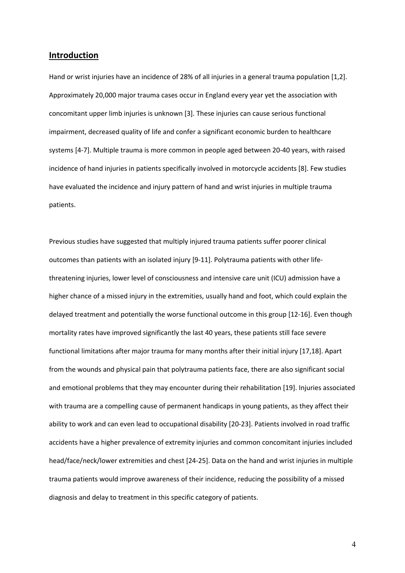### **Introduction**

Hand or wrist injuries have an incidence of 28% of all injuries in a general trauma population [1,2]. Approximately 20,000 major trauma cases occur in England every year yet the association with concomitant upper limb injuries is unknown [3]. These injuries can cause serious functional impairment, decreased quality of life and confer a significant economic burden to healthcare systems [4-7]. Multiple trauma is more common in people aged between 20-40 years, with raised incidence of hand injuries in patients specifically involved in motorcycle accidents [8]. Few studies have evaluated the incidence and injury pattern of hand and wrist injuries in multiple trauma patients.

Previous studies have suggested that multiply injured trauma patients suffer poorer clinical outcomes than patients with an isolated injury [9-11]. Polytrauma patients with other lifethreatening injuries, lower level of consciousness and intensive care unit (ICU) admission have a higher chance of a missed injury in the extremities, usually hand and foot, which could explain the delayed treatment and potentially the worse functional outcome in this group [12-16]. Even though mortality rates have improved significantly the last 40 years, these patients still face severe functional limitations after major trauma for many months after their initial injury [17,18]. Apart from the wounds and physical pain that polytrauma patients face, there are also significant social and emotional problems that they may encounter during their rehabilitation [19]. Injuries associated with trauma are a compelling cause of permanent handicaps in young patients, as they affect their ability to work and can even lead to occupational disability [20-23]. Patients involved in road traffic accidents have a higher prevalence of extremity injuries and common concomitant injuries included head/face/neck/lower extremities and chest [24-25]. Data on the hand and wrist injuries in multiple trauma patients would improve awareness of their incidence, reducing the possibility of a missed diagnosis and delay to treatment in this specific category of patients.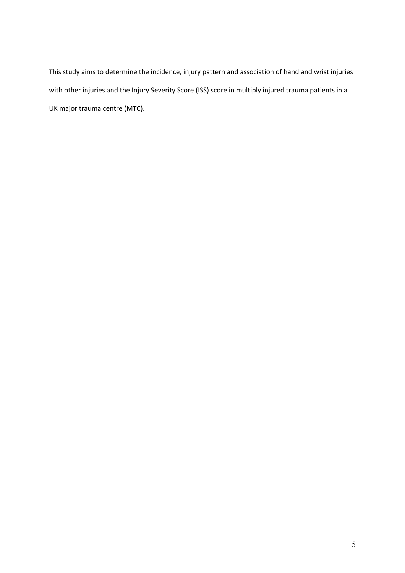This study aims to determine the incidence, injury pattern and association of hand and wrist injuries with other injuries and the Injury Severity Score (ISS) score in multiply injured trauma patients in a UK major trauma centre (MTC).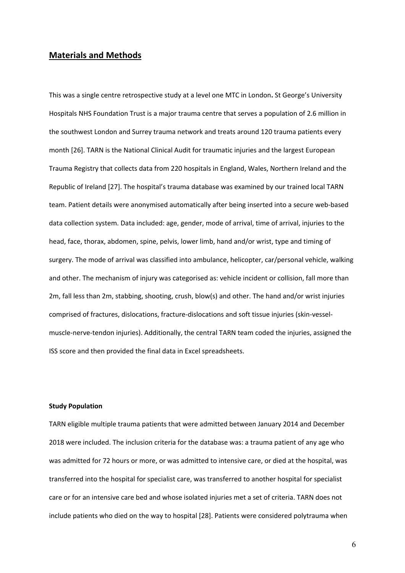## **Materials and Methods**

This was a single centre retrospective study at a level one MTC in London**.** St George's University Hospitals NHS Foundation Trust is a major trauma centre that serves a population of 2.6 million in the southwest London and Surrey trauma network and treats around 120 trauma patients every month [26]. TARN is the National Clinical Audit for traumatic injuries and the largest European Trauma Registry that collects data from 220 hospitals in England, Wales, Northern Ireland and the Republic of Ireland [27]. The hospital's trauma database was examined by our trained local TARN team. Patient details were anonymised automatically after being inserted into a secure web-based data collection system. Data included: age, gender, mode of arrival, time of arrival, injuries to the head, face, thorax, abdomen, spine, pelvis, lower limb, hand and/or wrist, type and timing of surgery. The mode of arrival was classified into ambulance, helicopter, car/personal vehicle, walking and other. The mechanism of injury was categorised as: vehicle incident or collision, fall more than 2m, fall less than 2m, stabbing, shooting, crush, blow(s) and other. The hand and/or wrist injuries comprised of fractures, dislocations, fracture-dislocations and soft tissue injuries (skin-vesselmuscle-nerve-tendon injuries). Additionally, the central TARN team coded the injuries, assigned the ISS score and then provided the final data in Excel spreadsheets.

### **Study Population**

TARN eligible multiple trauma patients that were admitted between January 2014 and December 2018 were included. The inclusion criteria for the database was: a trauma patient of any age who was admitted for 72 hours or more, or was admitted to intensive care, or died at the hospital, was transferred into the hospital for specialist care, was transferred to another hospital for specialist care or for an intensive care bed and whose isolated injuries met a set of criteria. TARN does not include patients who died on the way to hospital [28]. Patients were considered polytrauma when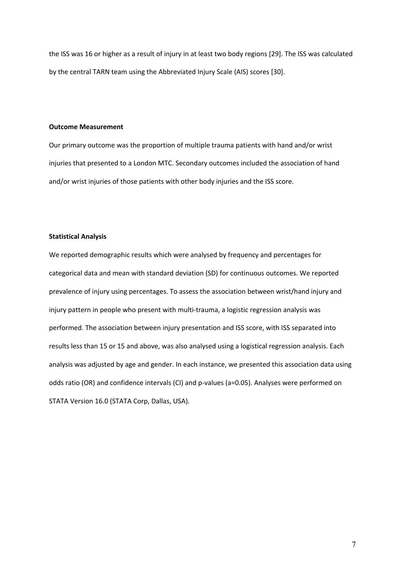the ISS was 16 or higher as a result of injury in at least two body regions [29]. The ISS was calculated by the central TARN team using the Abbreviated Injury Scale (AIS) scores [30].

#### **Outcome Measurement**

Our primary outcome was the proportion of multiple trauma patients with hand and/or wrist injuries that presented to a London MTC. Secondary outcomes included the association of hand and/or wrist injuries of those patients with other body injuries and the ISS score.

#### **Statistical Analysis**

We reported demographic results which were analysed by frequency and percentages for categorical data and mean with standard deviation (SD) for continuous outcomes. We reported prevalence of injury using percentages. To assess the association between wrist/hand injury and injury pattern in people who present with multi-trauma, a logistic regression analysis was performed. The association between injury presentation and ISS score, with ISS separated into results less than 15 or 15 and above, was also analysed using a logistical regression analysis. Each analysis was adjusted by age and gender. In each instance, we presented this association data using odds ratio (OR) and confidence intervals (CI) and p-values (a=0.05). Analyses were performed on STATA Version 16.0 (STATA Corp, Dallas, USA).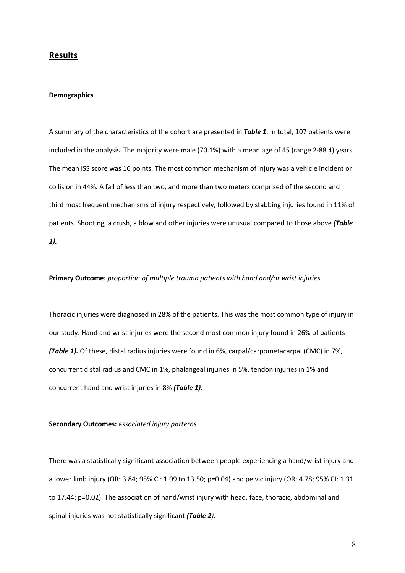## **Results**

#### **Demographics**

A summary of the characteristics of the cohort are presented in *Table 1*. In total, 107 patients were included in the analysis. The majority were male (70.1%) with a mean age of 45 (range 2-88.4) years. The mean ISS score was 16 points. The most common mechanism of injury was a vehicle incident or collision in 44%. A fall of less than two, and more than two meters comprised of the second and third most frequent mechanisms of injury respectively, followed by stabbing injuries found in 11% of patients. Shooting, a crush, a blow and other injuries were unusual compared to those above *(Table 1).*

#### **Primary Outcome:** *proportion of multiple trauma patients with hand and/or wrist injuries*

Thoracic injuries were diagnosed in 28% of the patients. This was the most common type of injury in our study. Hand and wrist injuries were the second most common injury found in 26% of patients *(Table 1).* Of these, distal radius injuries were found in 6%, carpal/carpometacarpal (CMC) in 7%, concurrent distal radius and CMC in 1%, phalangeal injuries in 5%, tendon injuries in 1% and concurrent hand and wrist injuries in 8% *(Table 1).*

#### **Secondary Outcomes:** a*ssociated injury patterns*

There was a statistically significant association between people experiencing a hand/wrist injury and a lower limb injury (OR: 3.84; 95% CI: 1.09 to 13.50; p=0.04) and pelvic injury (OR: 4.78; 95% CI: 1.31 to 17.44; p=0.02). The association of hand/wrist injury with head, face, thoracic, abdominal and spinal injuries was not statistically significant *(Table 2).*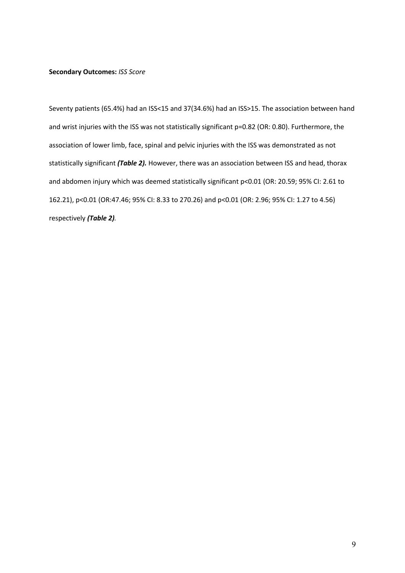#### **Secondary Outcomes:** *ISS Score*

Seventy patients (65.4%) had an ISS<15 and 37(34.6%) had an ISS>15. The association between hand and wrist injuries with the ISS was not statistically significant p=0.82 (OR: 0.80). Furthermore, the association of lower limb, face, spinal and pelvic injuries with the ISS was demonstrated as not statistically significant *(Table 2).* However, there was an association between ISS and head, thorax and abdomen injury which was deemed statistically significant p<0.01 (OR: 20.59; 95% CI: 2.61 to 162.21), p<0.01 (OR:47.46; 95% CI: 8.33 to 270.26) and p<0.01 (OR: 2.96; 95% CI: 1.27 to 4.56) respectively *(Table 2).*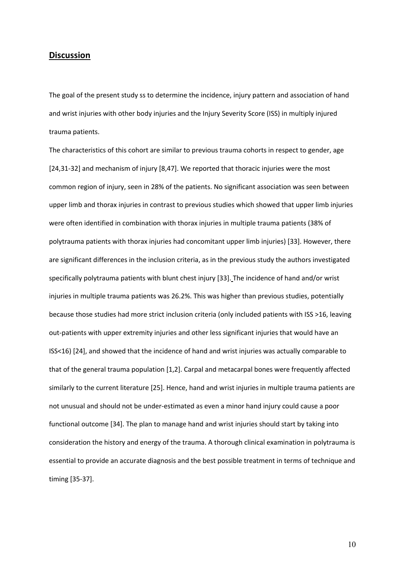## **Discussion**

The goal of the present study ss to determine the incidence, injury pattern and association of hand and wrist injuries with other body injuries and the Injury Severity Score (ISS) in multiply injured trauma patients.

The characteristics of this cohort are similar to previous trauma cohorts in respect to gender, age [24,31-32] and mechanism of injury [8,47]. We reported that thoracic injuries were the most common region of injury, seen in 28% of the patients. No significant association was seen between upper limb and thorax injuries in contrast to previous studies which showed that upper limb injuries were often identified in combination with thorax injuries in multiple trauma patients (38% of polytrauma patients with thorax injuries had concomitant upper limb injuries) [33]. However, there are significant differences in the inclusion criteria, as in the previous study the authors investigated specifically polytrauma patients with blunt chest injury [33]. The incidence of hand and/or wrist injuries in multiple trauma patients was 26.2%. This was higher than previous studies, potentially because those studies had more strict inclusion criteria (only included patients with ISS >16, leaving out-patients with upper extremity injuries and other less significant injuries that would have an ISS<16) [24], and showed that the incidence of hand and wrist injuries was actually comparable to that of the general trauma population [1,2]. Carpal and metacarpal bones were frequently affected similarly to the current literature [25]. Hence, hand and wrist injuries in multiple trauma patients are not unusual and should not be under-estimated as even a minor hand injury could cause a poor functional outcome [34]. The plan to manage hand and wrist injuries should start by taking into consideration the history and energy of the trauma. A thorough clinical examination in polytrauma is essential to provide an accurate diagnosis and the best possible treatment in terms of technique and timing [35-37].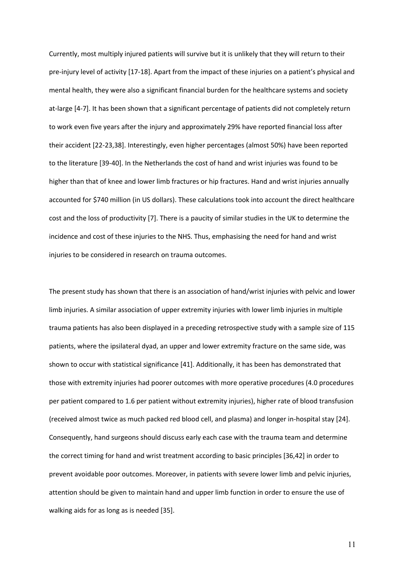Currently, most multiply injured patients will survive but it is unlikely that they will return to their pre-injury level of activity [17-18]. Apart from the impact of these injuries on a patient's physical and mental health, they were also a significant financial burden for the healthcare systems and society at-large [4-7]. It has been shown that a significant percentage of patients did not completely return to work even five years after the injury and approximately 29% have reported financial loss after their accident [22-23,38]. Interestingly, even higher percentages (almost 50%) have been reported to the literature [39-40]. In the Netherlands the cost of hand and wrist injuries was found to be higher than that of knee and lower limb fractures or hip fractures. Hand and wrist injuries annually accounted for \$740 million (in US dollars). These calculations took into account the direct healthcare cost and the loss of productivity [7]. There is a paucity of similar studies in the UK to determine the incidence and cost of these injuries to the NHS. Thus, emphasising the need for hand and wrist injuries to be considered in research on trauma outcomes.

The present study has shown that there is an association of hand/wrist injuries with pelvic and lower limb injuries. A similar association of upper extremity injuries with lower limb injuries in multiple trauma patients has also been displayed in a preceding retrospective study with a sample size of 115 patients, where the ipsilateral dyad, an upper and lower extremity fracture on the same side, was shown to occur with statistical significance [41]. Additionally, it has been has demonstrated that those with extremity injuries had poorer outcomes with more operative procedures (4.0 procedures per patient compared to 1.6 per patient without extremity injuries), higher rate of blood transfusion (received almost twice as much packed red blood cell, and plasma) and longer in-hospital stay [24]. Consequently, hand surgeons should discuss early each case with the trauma team and determine the correct timing for hand and wrist treatment according to basic principles [36,42] in order to prevent avoidable poor outcomes. Moreover, in patients with severe lower limb and pelvic injuries, attention should be given to maintain hand and upper limb function in order to ensure the use of walking aids for as long as is needed [35].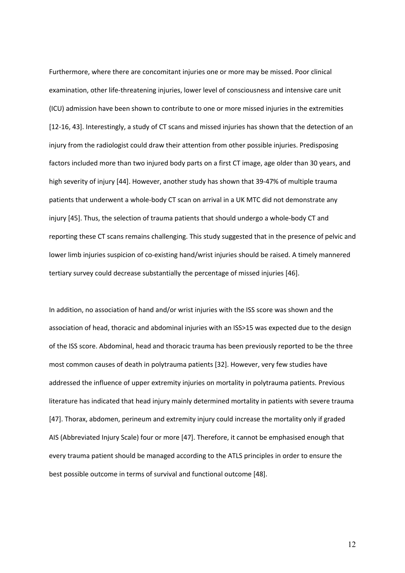Furthermore, where there are concomitant injuries one or more may be missed. Poor clinical examination, other life-threatening injuries, lower level of consciousness and intensive care unit (ICU) admission have been shown to contribute to one or more missed injuries in the extremities [12-16, 43]. Interestingly, a study of CT scans and missed injuries has shown that the detection of an injury from the radiologist could draw their attention from other possible injuries. Predisposing factors included more than two injured body parts on a first CT image, age older than 30 years, and high severity of injury [44]. However, another study has shown that 39-47% of multiple trauma patients that underwent a whole-body CT scan on arrival in a UK MTC did not demonstrate any injury [45]. Thus, the selection of trauma patients that should undergo a whole-body CT and reporting these CT scans remains challenging. This study suggested that in the presence of pelvic and lower limb injuries suspicion of co-existing hand/wrist injuries should be raised. A timely mannered tertiary survey could decrease substantially the percentage of missed injuries [46].

In addition, no association of hand and/or wrist injuries with the ISS score was shown and the association of head, thoracic and abdominal injuries with an ISS>15 was expected due to the design of the ISS score. Abdominal, head and thoracic trauma has been previously reported to be the three most common causes of death in polytrauma patients [32]. However, very few studies have addressed the influence of upper extremity injuries on mortality in polytrauma patients. Previous literature has indicated that head injury mainly determined mortality in patients with severe trauma [47]. Thorax, abdomen, perineum and extremity injury could increase the mortality only if graded AIS (Abbreviated Injury Scale) four or more [47]. Therefore, it cannot be emphasised enough that every trauma patient should be managed according to the ATLS principles in order to ensure the best possible outcome in terms of survival and functional outcome [48].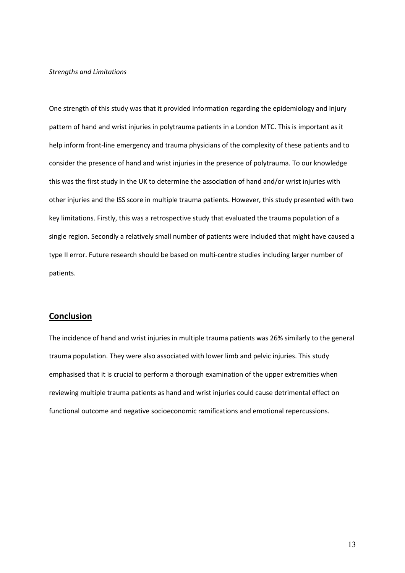#### *Strengths and Limitations*

One strength of this study was that it provided information regarding the epidemiology and injury pattern of hand and wrist injuries in polytrauma patients in a London MTC. This is important as it help inform front-line emergency and trauma physicians of the complexity of these patients and to consider the presence of hand and wrist injuries in the presence of polytrauma. To our knowledge this was the first study in the UK to determine the association of hand and/or wrist injuries with other injuries and the ISS score in multiple trauma patients. However, this study presented with two key limitations. Firstly, this was a retrospective study that evaluated the trauma population of a single region. Secondly a relatively small number of patients were included that might have caused a type II error. Future research should be based on multi-centre studies including larger number of patients.

# **Conclusion**

The incidence of hand and wrist injuries in multiple trauma patients was 26% similarly to the general trauma population. They were also associated with lower limb and pelvic injuries. This study emphasised that it is crucial to perform a thorough examination of the upper extremities when reviewing multiple trauma patients as hand and wrist injuries could cause detrimental effect on functional outcome and negative socioeconomic ramifications and emotional repercussions.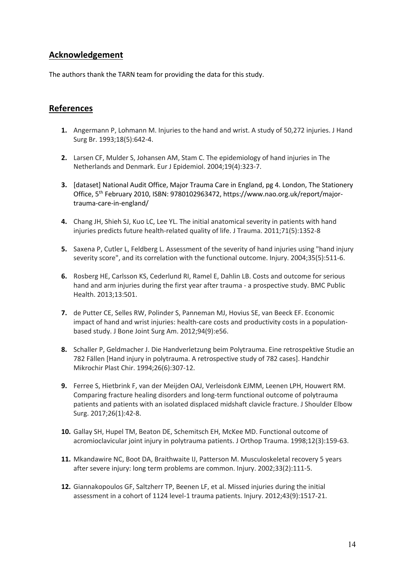# **Acknowledgement**

The authors thank the TARN team for providing the data for this study.

# **References**

- **1.** Angermann P, Lohmann M. Injuries to the hand and wrist. A study of 50,272 injuries. J Hand Surg Br. 1993;18(5):642-4.
- **2.** Larsen CF, Mulder S, Johansen AM, Stam C. The epidemiology of hand injuries in The Netherlands and Denmark. Eur J Epidemiol. 2004;19(4):323-7.
- **3.** [dataset] National Audit Office, Major Trauma Care in England, pg 4. London, The Stationery Office, 5th February 2010, ISBN: 9780102963472, https://www.nao.org.uk/report/majortrauma-care-in-england/
- **4.** Chang JH, Shieh SJ, Kuo LC, Lee YL. The initial anatomical severity in patients with hand injuries predicts future health-related quality of life. J Trauma. 2011;71(5):1352-8
- **5.** Saxena P, Cutler L, Feldberg L. Assessment of the severity of hand injuries using "hand injury severity score", and its correlation with the functional outcome. Injury. 2004;35(5):511-6.
- **6.** Rosberg HE, Carlsson KS, Cederlund RI, Ramel E, Dahlin LB. Costs and outcome for serious hand and arm injuries during the first year after trauma - a prospective study. BMC Public Health. 2013;13:501.
- **7.** de Putter CE, Selles RW, Polinder S, Panneman MJ, Hovius SE, van Beeck EF. Economic impact of hand and wrist injuries: health-care costs and productivity costs in a populationbased study. J Bone Joint Surg Am. 2012;94(9):e56.
- **8.** Schaller P, Geldmacher J. Die Handverletzung beim Polytrauma. Eine retrospektive Studie an 782 Fällen [Hand injury in polytrauma. A retrospective study of 782 cases]. Handchir Mikrochir Plast Chir. 1994;26(6):307-12.
- **9.** Ferree S, Hietbrink F, van der Meijden OAJ, Verleisdonk EJMM, Leenen LPH, Houwert RM. Comparing fracture healing disorders and long-term functional outcome of polytrauma patients and patients with an isolated displaced midshaft clavicle fracture. J Shoulder Elbow Surg. 2017;26(1):42-8.
- **10.** Gallay SH, Hupel TM, Beaton DE, Schemitsch EH, McKee MD. Functional outcome of acromioclavicular joint injury in polytrauma patients. J Orthop Trauma. 1998;12(3):159-63.
- **11.** Mkandawire NC, Boot DA, Braithwaite IJ, Patterson M. Musculoskeletal recovery 5 years after severe injury: long term problems are common. Injury. 2002;33(2):111-5.
- **12.** Giannakopoulos GF, Saltzherr TP, Beenen LF, et al. Missed injuries during the initial assessment in a cohort of 1124 level-1 trauma patients. Injury. 2012;43(9):1517-21.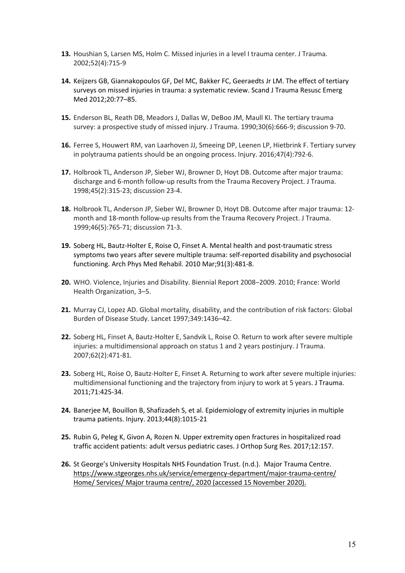- **13.** Houshian S, Larsen MS, Holm C. Missed injuries in a level I trauma center. J Trauma. 2002;52(4):715-9
- **14.** Keijzers GB, Giannakopoulos GF, Del MC, Bakker FC, Geeraedts Jr LM. The effect of tertiary surveys on missed injuries in trauma: a systematic review. Scand J Trauma Resusc Emerg Med 2012;20:77–85.
- **15.** Enderson BL, Reath DB, Meadors J, Dallas W, DeBoo JM, Maull KI. The tertiary trauma survey: a prospective study of missed injury. J Trauma. 1990;30(6):666-9; discussion 9-70.
- **16.** Ferree S, Houwert RM, van Laarhoven JJ, Smeeing DP, Leenen LP, Hietbrink F. Tertiary survey in polytrauma patients should be an ongoing process. Injury. 2016;47(4):792-6.
- **17.** Holbrook TL, Anderson JP, Sieber WJ, Browner D, Hoyt DB. Outcome after major trauma: discharge and 6-month follow-up results from the Trauma Recovery Project. J Trauma. 1998;45(2):315-23; discussion 23-4.
- **18.** Holbrook TL, Anderson JP, Sieber WJ, Browner D, Hoyt DB. Outcome after major trauma: 12 month and 18-month follow-up results from the Trauma Recovery Project. J Trauma. 1999;46(5):765-71; discussion 71-3.
- **19.** Soberg HL, Bautz-Holter E, Roise O, Finset A. Mental health and post-traumatic stress symptoms two years after severe multiple trauma: self-reported disability and psychosocial functioning. Arch Phys Med Rehabil. 2010 Mar;91(3):481-8.
- **20.** WHO. Violence, Injuries and Disability. Biennial Report 2008–2009. 2010; France: World Health Organization, 3–5.
- **21.** Murray CJ, Lopez AD. Global mortality, disability, and the contribution of risk factors: Global Burden of Disease Study. Lancet 1997;349:1436–42.
- **22.** Soberg HL, Finset A, Bautz-Holter E, Sandvik L, Roise O. Return to work after severe multiple injuries: a multidimensional approach on status 1 and 2 years postinjury. J Trauma. 2007;62(2):471-81.
- **23.** Soberg HL, Roise O, Bautz-Holter E, Finset A. Returning to work after severe multiple injuries: multidimensional functioning and the trajectory from injury to work at 5 years. J Trauma. 2011;71:425-34.
- **24.** Banerjee M, Bouillon B, Shafizadeh S, et al. Epidemiology of extremity injuries in multiple trauma patients. Injury. 2013;44(8):1015-21
- **25.** Rubin G, Peleg K, Givon A, Rozen N. Upper extremity open fractures in hospitalized road traffic accident patients: adult versus pediatric cases. J Orthop Surg Res. 2017;12:157.
- 26. St George's University Hospitals NHS Foundation Trust. (n.d.). Major Trauma Centre. https://www.stgeorges.nhs.uk/service/emergency-department/major-trauma-centre/ Home/ Services/ Major trauma centre/, 2020 (accessed 15 November 2020).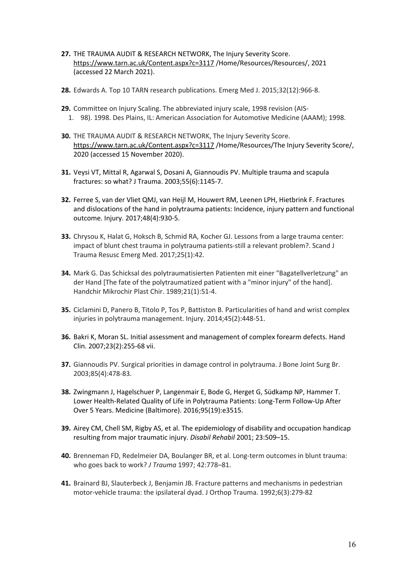- **27.** THE TRAUMA AUDIT & RESEARCH NETWORK, The Injury Severity Score. https://www.tarn.ac.uk/Content.aspx?c=3117 /Home/Resources/Resources/, 2021 (accessed 22 March 2021).
- **28.** Edwards A. Top 10 TARN research publications. Emerg Med J. 2015;32(12):966-8.
- **29.** Committee on Injury Scaling. The abbreviated injury scale, 1998 revision (AIS-1. 98). 1998. Des Plains, IL: American Association for Automotive Medicine (AAAM); 1998.
- **30.** THE TRAUMA AUDIT & RESEARCH NETWORK, The Injury Severity Score. https://www.tarn.ac.uk/Content.aspx?c=3117 /Home/Resources/The Injury Severity Score/, 2020 (accessed 15 November 2020).
- **31.** Veysi VT, Mittal R, Agarwal S, Dosani A, Giannoudis PV. Multiple trauma and scapula fractures: so what? J Trauma. 2003;55(6):1145-7.
- **32.** Ferree S, van der Vliet QMJ, van Heijl M, Houwert RM, Leenen LPH, Hietbrink F. Fractures and dislocations of the hand in polytrauma patients: Incidence, injury pattern and functional outcome. Injury. 2017;48(4):930-5.
- **33.** Chrysou K, Halat G, Hoksch B, Schmid RA, Kocher GJ. Lessons from a large trauma center: impact of blunt chest trauma in polytrauma patients-still a relevant problem?. Scand J Trauma Resusc Emerg Med. 2017;25(1):42.
- **34.** Mark G. Das Schicksal des polytraumatisierten Patienten mit einer "Bagatellverletzung" an der Hand [The fate of the polytraumatized patient with a "minor injury" of the hand]. Handchir Mikrochir Plast Chir. 1989;21(1):51-4.
- **35.** Ciclamini D, Panero B, Titolo P, Tos P, Battiston B. Particularities of hand and wrist complex injuries in polytrauma management. Injury. 2014;45(2):448-51.
- **36.** Bakri K, Moran SL. Initial assessment and management of complex forearm defects. Hand Clin. 2007;23(2):255-68 vii.
- **37.** Giannoudis PV. Surgical priorities in damage control in polytrauma. J Bone Joint Surg Br. 2003;85(4):478-83.
- **38.** Zwingmann J, Hagelschuer P, Langenmair E, Bode G, Herget G, Südkamp NP, Hammer T. Lower Health-Related Quality of Life in Polytrauma Patients: Long-Term Follow-Up After Over 5 Years. Medicine (Baltimore). 2016;95(19):e3515.
- **39.** Airey CM, Chell SM, Rigby AS, et al. The epidemiology of disability and occupation handicap resulting from major traumatic injury. *Disabil Rehabil* 2001; 23:509–15.
- **40.** Brenneman FD, Redelmeier DA, Boulanger BR, et al. Long-term outcomes in blunt trauma: who goes back to work? *J Trauma* 1997; 42:778–81.
- **41.** Brainard BJ, Slauterbeck J, Benjamin JB. Fracture patterns and mechanisms in pedestrian motor-vehicle trauma: the ipsilateral dyad. J Orthop Trauma. 1992;6(3):279-82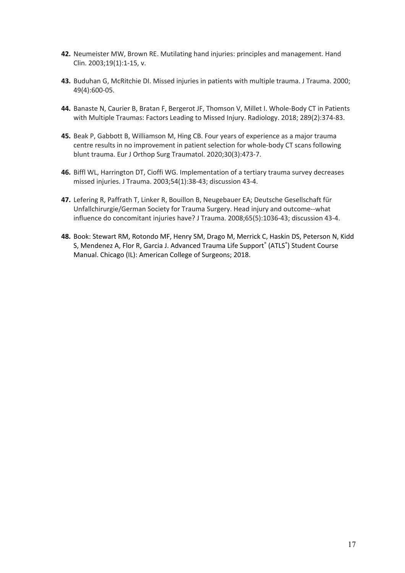- **42.** Neumeister MW, Brown RE. Mutilating hand injuries: principles and management. Hand Clin. 2003;19(1):1-15, v.
- **43.** Buduhan G, McRitchie DI. Missed injuries in patients with multiple trauma. J Trauma. 2000; 49(4):600-05.
- **44.** Banaste N, Caurier B, Bratan F, Bergerot JF, Thomson V, Millet I. Whole-Body CT in Patients with Multiple Traumas: Factors Leading to Missed Injury. Radiology. 2018; 289(2):374-83.
- **45.** Beak P, Gabbott B, Williamson M, Hing CB. Four years of experience as a major trauma centre results in no improvement in patient selection for whole-body CT scans following blunt trauma. Eur J Orthop Surg Traumatol. 2020;30(3):473-7.
- **46.** Biffl WL, Harrington DT, Cioffi WG. Implementation of a tertiary trauma survey decreases missed injuries. J Trauma. 2003;54(1):38-43; discussion 43-4.
- **47.** Lefering R, Paffrath T, Linker R, Bouillon B, Neugebauer EA; Deutsche Gesellschaft für Unfallchirurgie/German Society for Trauma Surgery. Head injury and outcome--what influence do concomitant injuries have? J Trauma. 2008;65(5):1036-43; discussion 43-4.
- **48.** Book: Stewart RM, Rotondo MF, Henry SM, Drago M, Merrick C, Haskin DS, Peterson N, Kidd S, Mendenez A, Flor R, Garcia J. Advanced Trauma Life Support<sup>®</sup> (ATLS<sup>®</sup>) Student Course Manual. Chicago (IL): American College of Surgeons; 2018.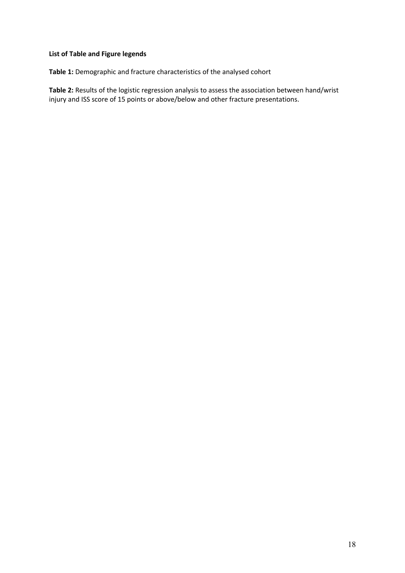# **List of Table and Figure legends**

**Table 1:** Demographic and fracture characteristics of the analysed cohort

**Table 2:** Results of the logistic regression analysis to assess the association between hand/wrist injury and ISS score of 15 points or above/below and other fracture presentations.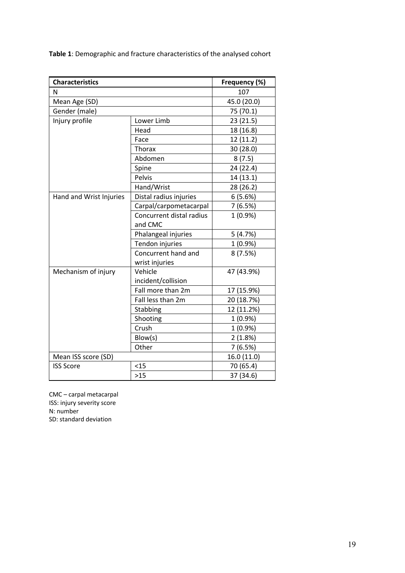| <b>Characteristics</b>  |                          | Frequency (%) |  |
|-------------------------|--------------------------|---------------|--|
| N                       |                          | 107           |  |
| Mean Age (SD)           |                          | 45.0 (20.0)   |  |
| Gender (male)           |                          | 75 (70.1)     |  |
| Injury profile          | Lower Limb               | 23 (21.5)     |  |
|                         | Head                     | 18 (16.8)     |  |
|                         | Face                     | 12 (11.2)     |  |
|                         | Thorax                   | 30 (28.0)     |  |
|                         | Abdomen                  | 8(7.5)        |  |
|                         | Spine                    | 24 (22.4)     |  |
|                         | Pelvis                   | 14 (13.1)     |  |
|                         | Hand/Wrist               | 28 (26.2)     |  |
| Hand and Wrist Injuries | Distal radius injuries   | 6(5.6%)       |  |
|                         | Carpal/carpometacarpal   | 7(6.5%)       |  |
|                         | Concurrent distal radius | $1(0.9\%)$    |  |
|                         | and CMC                  |               |  |
|                         | Phalangeal injuries      | 5(4.7%)       |  |
|                         | Tendon injuries          | $1(0.9\%)$    |  |
|                         | Concurrent hand and      | 8(7.5%)       |  |
|                         | wrist injuries           |               |  |
| Mechanism of injury     | Vehicle                  | 47 (43.9%)    |  |
|                         | incident/collision       |               |  |
|                         | Fall more than 2m        | 17 (15.9%)    |  |
|                         | Fall less than 2m        | 20 (18.7%)    |  |
|                         | Stabbing                 | 12 (11.2%)    |  |
|                         | Shooting                 | $1(0.9\%)$    |  |
|                         | Crush                    | $1(0.9\%)$    |  |
|                         | Blow(s)                  | 2(1.8%)       |  |
|                         | Other                    | 7(6.5%)       |  |
| Mean ISS score (SD)     |                          | 16.0 (11.0)   |  |
| <b>ISS Score</b>        | < 15                     | 70 (65.4)     |  |
|                         | $>15$                    | 37 (34.6)     |  |

CMC – carpal metacarpal ISS: injury severity score N: number SD: standard deviation